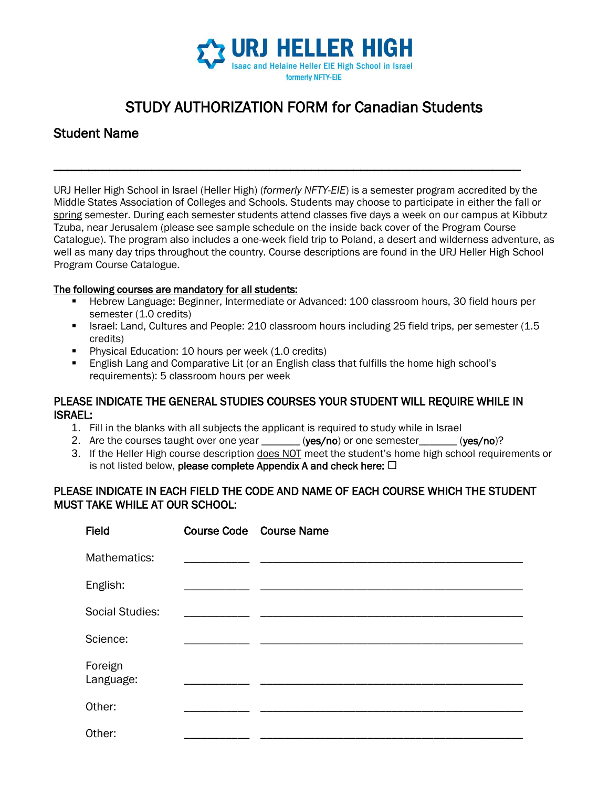

# STUDY AUTHORIZATION FORM for Canadian Students

 $\overline{\phantom{a}}$  , and the set of the set of the set of the set of the set of the set of the set of the set of the set of the set of the set of the set of the set of the set of the set of the set of the set of the set of the s

# Student Name

URJ Heller High School in Israel (Heller High) (*formerly NFTY-EIE*) is a semester program accredited by the Middle States Association of Colleges and Schools. Students may choose to participate in either the fall or spring semester. During each semester students attend classes five days a week on our campus at Kibbutz Tzuba, near Jerusalem (please see sample schedule on the inside back cover of the Program Course Catalogue). The program also includes a one-week field trip to Poland, a desert and wilderness adventure, as well as many day trips throughout the country. Course descriptions are found in the URJ Heller High School Program Course Catalogue.

### The following courses are mandatory for all students:

- Hebrew Language: Beginner, Intermediate or Advanced: 100 classroom hours, 30 field hours per semester (1.0 credits)
- **In Italy 1.5** Israel: Land, Cultures and People: 210 classroom hours including 25 field trips, per semester (1.5 credits)
- Physical Education: 10 hours per week (1.0 credits)
- English Lang and Comparative Lit (or an English class that fulfills the home high school's requirements): 5 classroom hours per week

### PLEASE INDICATE THE GENERAL STUDIES COURSES YOUR STUDENT WILL REQUIRE WHILE IN ISRAEL:

- 1. Fill in the blanks with all subjects the applicant is required to study while in Israel
- 2. Are the courses taught over one year \_\_\_\_\_\_\_ (yes/no) or one semester \_\_\_\_\_\_ (yes/no)?
- 3. If the Heller High course description does NOT meet the student's home high school requirements or is not listed below, please complete Appendix A and check here:  $\Box$

## PLEASE INDICATE IN EACH FIELD THE CODE AND NAME OF EACH COURSE WHICH THE STUDENT MUST TAKE WHILE AT OUR SCHOOL:

| <b>Field</b>           | <b>Course Code</b> Course Name |
|------------------------|--------------------------------|
| Mathematics:           |                                |
| English:               |                                |
| <b>Social Studies:</b> |                                |
| Science:               |                                |
| Foreign<br>Language:   |                                |
| Other:                 |                                |
| Other:                 |                                |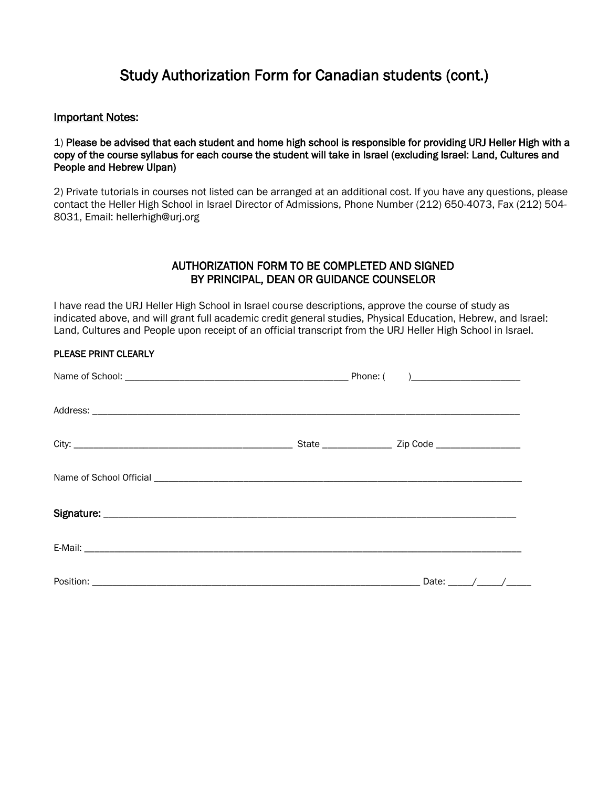# Study Authorization Form for Canadian students (cont.)

### Important Notes:

### 1) Please be advised that each student and home high school is responsible for providing URJ Heller High with a copy of the course syllabus for each course the student will take in Israel (excluding Israel: Land, Cultures and People and Hebrew Ulpan)

2) Private tutorials in courses not listed can be arranged at an additional cost. If you have any questions, please contact the Heller High School in Israel Director of Admissions, Phone Number (212) 650-4073, Fax (212) 504- 8031, Email: hellerhigh@urj.org

### AUTHORIZATION FORM TO BE COMPLETED AND SIGNED BY PRINCIPAL, DEAN OR GUIDANCE COUNSELOR

I have read the URJ Heller High School in Israel course descriptions, approve the course of study as indicated above, and will grant full academic credit general studies, Physical Education, Hebrew, and Israel: Land, Cultures and People upon receipt of an official transcript from the URJ Heller High School in Israel.

#### PLEASE PRINT CLEARLY

|  |  | . Date: _____/ _____/ ______ |  |  |  |
|--|--|------------------------------|--|--|--|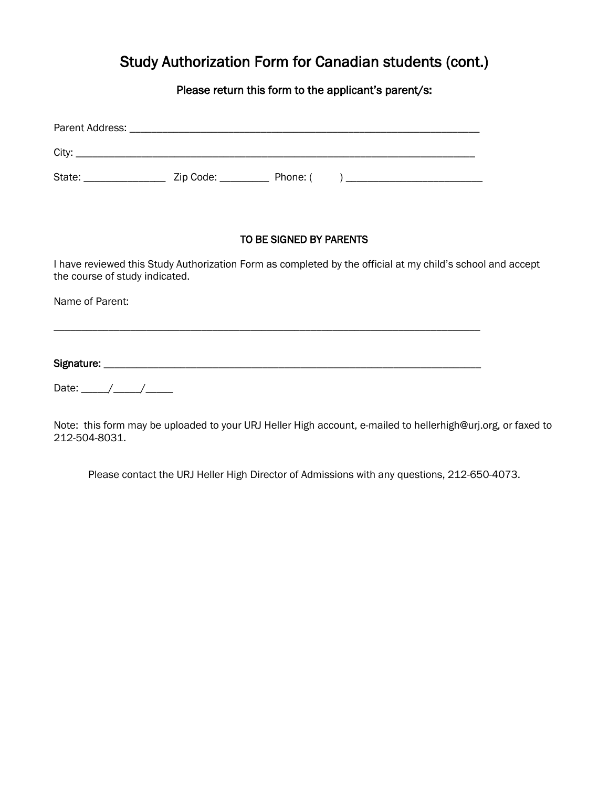# Study Authorization Form for Canadian students (cont.)

Please return this form to the applicant's parent/s:

| Parent Address: |           |          |  |
|-----------------|-----------|----------|--|
| City:           |           |          |  |
| State:          | Zip Code: | Phone: ( |  |

### TO BE SIGNED BY PARENTS

I have reviewed this Study Authorization Form as completed by the official at my child's school and accept the course of study indicated.

Name of Parent:

Signature: \_\_\_\_\_\_\_\_\_\_\_\_\_\_\_\_\_\_\_\_\_\_\_\_\_\_\_\_\_\_\_\_\_\_\_\_\_\_\_\_\_\_\_\_\_\_\_\_\_\_\_\_\_\_\_\_\_\_\_\_\_\_\_\_\_\_\_\_\_

\_\_\_\_\_\_\_\_\_\_\_\_\_\_\_\_\_\_\_\_\_\_\_\_\_\_\_\_\_\_\_\_\_\_\_\_\_\_\_\_\_\_\_\_\_\_\_\_\_\_\_\_\_\_\_\_\_\_\_\_\_\_\_\_\_\_\_\_\_\_\_\_\_\_\_\_\_\_

Date: \_\_\_\_\_/\_\_\_\_\_/\_\_\_\_\_

Note: this form may be uploaded to your URJ Heller High account, e-mailed to hellerhigh@urj.org, or faxed to 212-504-8031.

Please contact the URJ Heller High Director of Admissions with any questions, 212-650-4073.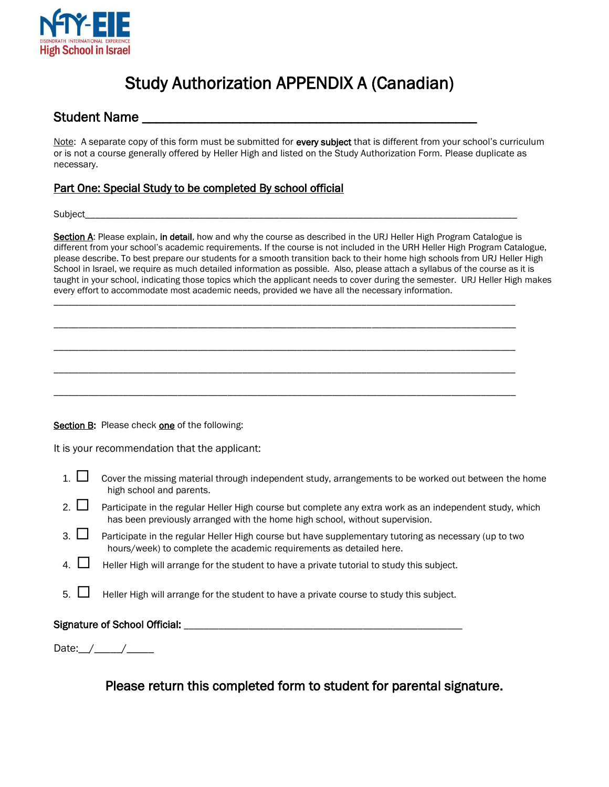

# Study Authorization APPENDIX A (Canadian)

# Student Name **Example 20**

Note: A separate copy of this form must be submitted for every subject that is different from your school's curriculum or is not a course generally offered by Heller High and listed on the Study Authorization Form. Please duplicate as necessary.

## Part One: Special Study to be completed By school official

Subject\_\_\_\_\_\_\_\_\_\_\_\_\_\_\_\_\_\_\_\_\_\_\_\_\_\_\_\_\_\_\_\_\_\_\_\_\_\_\_\_\_\_\_\_\_\_\_\_\_\_\_\_\_\_\_\_\_\_\_\_\_\_\_\_\_\_\_\_\_\_\_\_\_\_\_\_\_\_\_\_\_\_\_\_\_\_\_

Section A: Please explain, in detail, how and why the course as described in the URJ Heller High Program Catalogue is different from your school's academic requirements. If the course is not included in the URH Heller High Program Catalogue, please describe. To best prepare our students for a smooth transition back to their home high schools from URJ Heller High School in Israel, we require as much detailed information as possible. Also, please attach a syllabus of the course as it is taught in your school, indicating those topics which the applicant needs to cover during the semester. URJ Heller High makes every effort to accommodate most academic needs, provided we have all the necessary information.

\_\_\_\_\_\_\_\_\_\_\_\_\_\_\_\_\_\_\_\_\_\_\_\_\_\_\_\_\_\_\_\_\_\_\_\_\_\_\_\_\_\_\_\_\_\_\_\_\_\_\_\_\_\_\_\_\_\_\_\_\_\_\_\_\_\_\_\_\_\_\_\_\_\_\_\_\_\_\_\_\_\_\_\_\_\_\_\_\_\_\_\_\_

\_\_\_\_\_\_\_\_\_\_\_\_\_\_\_\_\_\_\_\_\_\_\_\_\_\_\_\_\_\_\_\_\_\_\_\_\_\_\_\_\_\_\_\_\_\_\_\_\_\_\_\_\_\_\_\_\_\_\_\_\_\_\_\_\_\_\_\_\_\_\_\_\_\_\_\_\_\_\_\_\_\_\_\_\_\_\_\_\_\_\_\_\_

\_\_\_\_\_\_\_\_\_\_\_\_\_\_\_\_\_\_\_\_\_\_\_\_\_\_\_\_\_\_\_\_\_\_\_\_\_\_\_\_\_\_\_\_\_\_\_\_\_\_\_\_\_\_\_\_\_\_\_\_\_\_\_\_\_\_\_\_\_\_\_\_\_\_\_\_\_\_\_\_\_\_\_\_\_\_\_\_\_\_\_\_\_

\_\_\_\_\_\_\_\_\_\_\_\_\_\_\_\_\_\_\_\_\_\_\_\_\_\_\_\_\_\_\_\_\_\_\_\_\_\_\_\_\_\_\_\_\_\_\_\_\_\_\_\_\_\_\_\_\_\_\_\_\_\_\_\_\_\_\_\_\_\_\_\_\_\_\_\_\_\_\_\_\_\_\_\_\_\_\_\_\_\_\_\_\_

\_\_\_\_\_\_\_\_\_\_\_\_\_\_\_\_\_\_\_\_\_\_\_\_\_\_\_\_\_\_\_\_\_\_\_\_\_\_\_\_\_\_\_\_\_\_\_\_\_\_\_\_\_\_\_\_\_\_\_\_\_\_\_\_\_\_\_\_\_\_\_\_\_\_\_\_\_\_\_\_\_\_\_\_\_\_\_\_\_\_\_\_\_

Section B: Please check one of the following:

It is your recommendation that the applicant:

- 1.  $\Box$  Cover the missing material through independent study, arrangements to be worked out between the home high school and parents.
- 2.  $\Box$  Participate in the regular Heller High course but complete any extra work as an independent study, which has been previously arranged with the home high school, without supervision.
- 3.  $\Box$  Participate in the regular Heller High course but have supplementary tutoring as necessary (up to two hours/week) to complete the academic requirements as detailed here.
- 4.  $\Box$  Heller High will arrange for the student to have a private tutorial to study this subject.
- 5.  $\Box$  Heller High will arrange for the student to have a private course to study this subject.

#### Signature of School Official: \_\_\_\_\_\_\_\_\_\_\_\_\_\_\_\_\_\_\_\_\_\_\_\_\_\_\_\_\_\_\_\_\_\_\_\_\_\_\_\_\_\_\_\_\_\_\_\_\_\_\_\_\_\_\_\_

| Date: |  |
|-------|--|
|       |  |

Please return this completed form to student for parental signature.